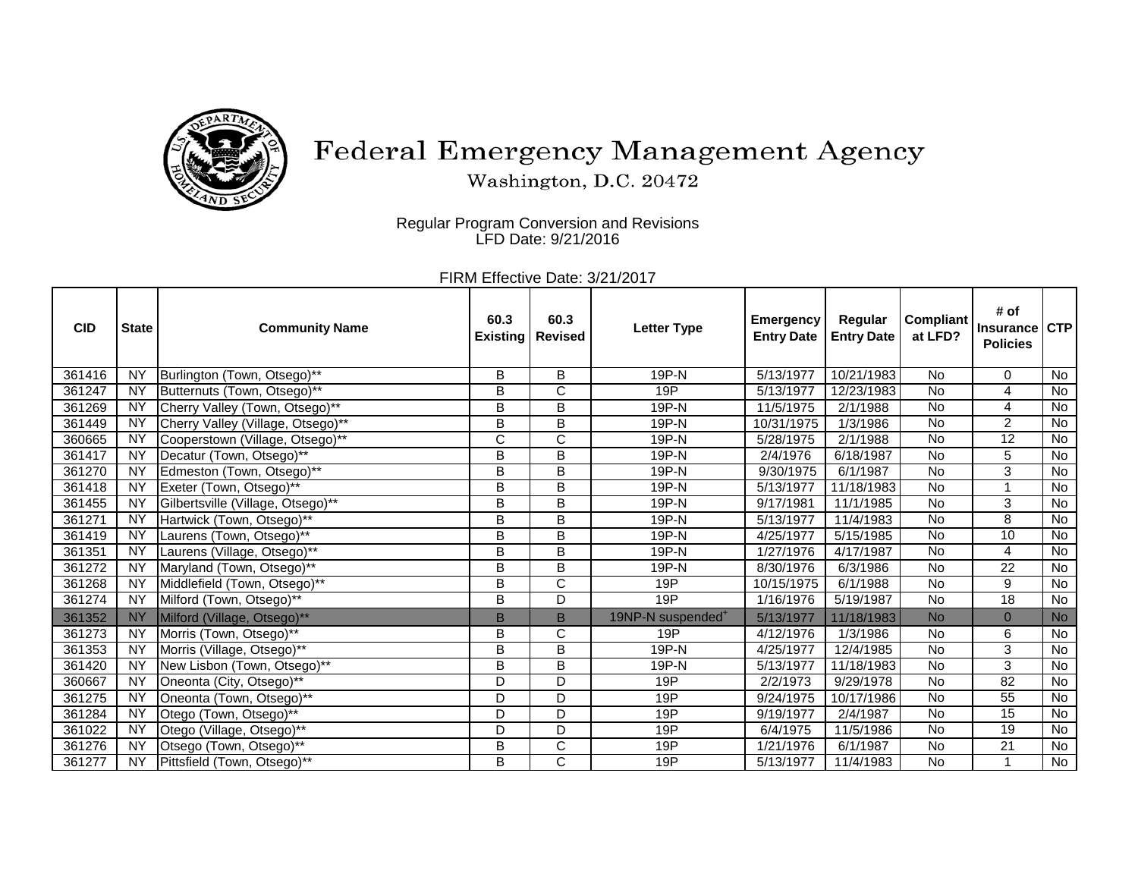

## Federal Emergency Management Agency

Washington, D.C. 20472

Regular Program Conversion and Revisions LFD Date: 9/21/2016

FIRM Effective Date: 3/21/2017

| <b>CID</b> | <b>State</b>    | <b>Community Name</b>             | 60.3<br><b>Existing</b> | 60.3<br><b>Revised</b> | <b>Letter Type</b>            | <b>Emergency</b><br><b>Entry Date</b> | Regular<br><b>Entry Date</b> | <b>Compliant</b><br>at LFD? | # of<br><b>Insurance</b><br><b>Policies</b> | <b>CTP</b>     |
|------------|-----------------|-----------------------------------|-------------------------|------------------------|-------------------------------|---------------------------------------|------------------------------|-----------------------------|---------------------------------------------|----------------|
| 361416     | <b>NY</b>       | Burlington (Town, Otsego)**       | B                       | B                      | 19P-N                         | 5/13/1977                             | 10/21/1983                   | No                          | $\Omega$                                    | No             |
| 361247     | NY              | Butternuts (Town, Otsego)**       | B                       | C                      | 19P                           | 5/13/1977                             | 12/23/1983                   | <b>No</b>                   | 4                                           | <b>No</b>      |
| 361269     | <b>NY</b>       | Cherry Valley (Town, Otsego)**    | B                       | B                      | 19P-N                         | 11/5/1975                             | 2/1/1988                     | <b>No</b>                   | 4                                           | No             |
| 361449     | <b>NY</b>       | Cherry Valley (Village, Otsego)** | B                       | B                      | 19P-N                         | 10/31/1975                            | 1/3/1986                     | No                          | $\overline{2}$                              | $\overline{N}$ |
| 360665     | <b>NY</b>       | Cooperstown (Village, Otsego)**   | C                       | C                      | 19P-N                         | 5/28/1975                             | 2/1/1988                     | <b>No</b>                   | 12                                          | No             |
| 361417     | $\overline{NY}$ | Decatur (Town, Otsego)**          | B                       | B                      | 19P-N                         | 2/4/1976                              | 6/18/1987                    | <b>No</b>                   | 5                                           | No             |
| 361270     | <b>NY</b>       | Edmeston (Town, Otsego)**         | B                       | B                      | 19P-N                         | 9/30/1975                             | 6/1/1987                     | <b>No</b>                   | 3                                           | No             |
| 361418     | <b>NY</b>       | Exeter (Town, Otsego)**           | B                       | B                      | 19P-N                         | 5/13/1977                             | 11/18/1983                   | <b>No</b>                   | $\overline{\phantom{a}}$                    | No             |
| 361455     | <b>NY</b>       | Gilbertsville (Village, Otsego)** | B                       | B                      | 19P-N                         | 9/17/1981                             | 11/1/1985                    | No                          | 3                                           | No             |
| 361271     | $\overline{NY}$ | Hartwick (Town, Otsego)**         | B                       | B                      | 19P-N                         | 5/13/1977                             | 11/4/1983                    | <b>No</b>                   | 8                                           | No             |
| 361419     | <b>NY</b>       | Laurens (Town, Otsego)**          | B                       | B                      | 19P-N                         | 4/25/1977                             | 5/15/1985                    | <b>No</b>                   | 10                                          | No             |
| 361351     | <b>NY</b>       | Laurens (Village, Otsego)**       | B                       | B                      | 19P-N                         | 1/27/1976                             | 4/17/1987                    | No                          | $\overline{\mathbf{4}}$                     | No             |
| 361272     | <b>NY</b>       | Maryland (Town, Otsego)**         | B                       | B                      | 19P-N                         | 8/30/1976                             | 6/3/1986                     | <b>No</b>                   | 22                                          | <b>No</b>      |
| 361268     | $\overline{NY}$ | Middlefield (Town, Otsego)**      | B                       | C                      | 19P                           | 10/15/1975                            | 6/1/1988                     | <b>No</b>                   | 9                                           | No             |
| 361274     | <b>NY</b>       | Milford (Town, Otsego)**          | B                       | D                      | 19P                           | 1/16/1976                             | 5/19/1987                    | <b>No</b>                   | 18                                          | $\overline{N}$ |
| 361352     | <b>NY</b>       | Milford (Village, Otsego)**       | B                       | B                      | 19NP-N suspended <sup>+</sup> | 5/13/1977                             | 11/18/1983                   | <b>No</b>                   | $\mathbf{0}$                                | <b>No</b>      |
| 361273     | <b>NY</b>       | Morris (Town, Otsego)**           | B                       | C                      | 19P                           | 4/12/1976                             | 1/3/1986                     | <b>No</b>                   | 6                                           | <b>No</b>      |
| 361353     | <b>NY</b>       | Morris (Village, Otsego)**        | B                       | B                      | 19P-N                         | 4/25/1977                             | 12/4/1985                    | <b>No</b>                   | $\overline{3}$                              | $\overline{N}$ |
| 361420     | <b>NY</b>       | New Lisbon (Town, Otsego)**       | B                       | B                      | 19P-N                         | 5/13/1977                             | 11/18/1983                   | <b>No</b>                   | 3                                           | No             |
| 360667     | <b>NY</b>       | Oneonta (City, Otsego)**          | D                       | D                      | 19P                           | 2/2/1973                              | 9/29/1978                    | <b>No</b>                   | $\overline{82}$                             | <b>No</b>      |
| 361275     | $\overline{NY}$ | Oneonta (Town, Otsego)**          | D                       | D                      | 19P                           | 9/24/1975                             | 10/17/1986                   | <b>No</b>                   | 55                                          | No             |
| 361284     | <b>NY</b>       | Otego (Town, Otsego)**            | D                       | D                      | 19P                           | 9/19/1977                             | 2/4/1987                     | <b>No</b>                   | 15                                          | No             |
| 361022     | <b>NY</b>       | Otego (Village, Otsego)**         | D                       | D                      | 19P                           | 6/4/1975                              | 11/5/1986                    | <b>No</b>                   | 19                                          | No             |
| 361276     | <b>NY</b>       | Otsego (Town, Otsego)**           | B                       | C                      | 19P                           | 1/21/1976                             | 6/1/1987                     | No                          | $\overline{21}$                             | No             |
| 361277     | <b>NY</b>       | Pittsfield (Town, Otsego)**       | B                       | C                      | 19P                           | 5/13/1977                             | 11/4/1983                    | <b>No</b>                   | $\overline{\phantom{a}}$                    | No             |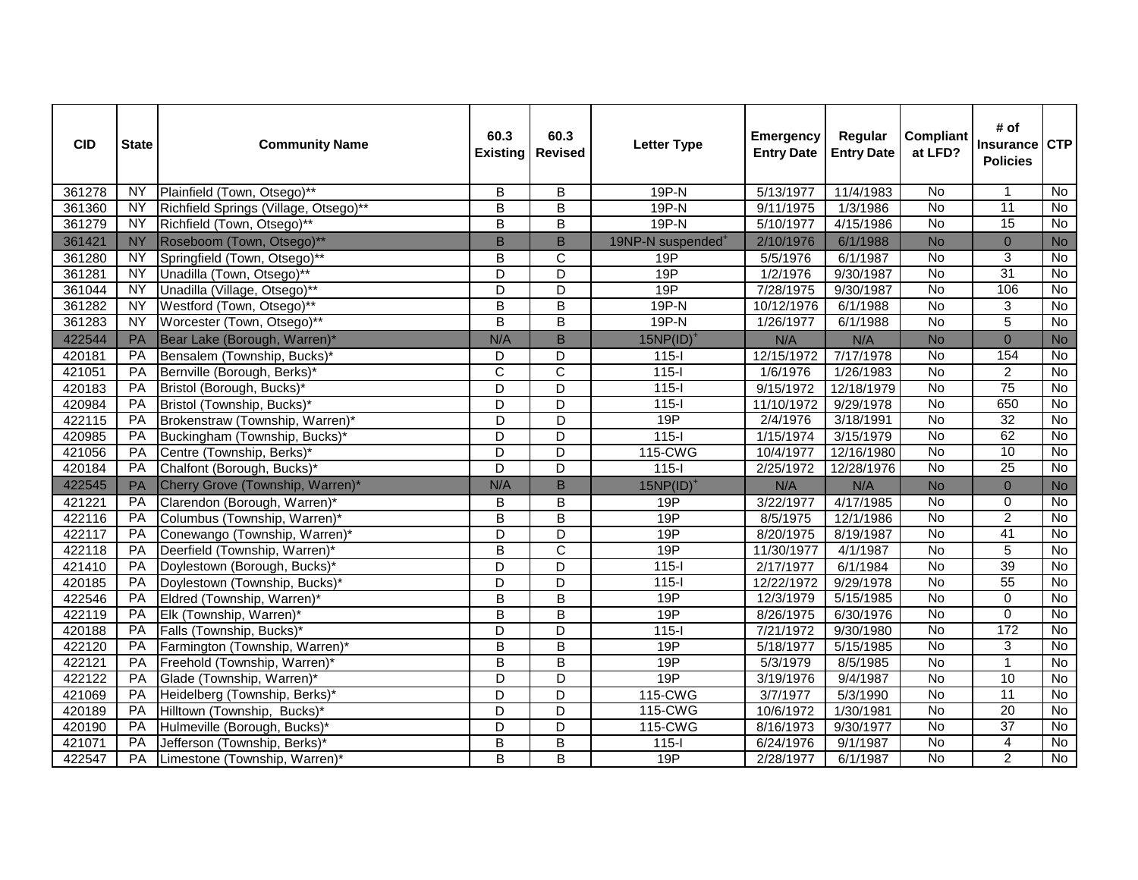| <b>CID</b> | <b>State</b> | <b>Community Name</b>                 | 60.3<br><b>Existing</b> | 60.3<br><b>Revised</b>  | <b>Letter Type</b>            | <b>Emergency</b><br><b>Entry Date</b> | Regular<br><b>Entry Date</b> | <b>Compliant</b><br>at LFD? | # of<br><b>Insurance</b><br><b>Policies</b> | <b>CTP</b>     |
|------------|--------------|---------------------------------------|-------------------------|-------------------------|-------------------------------|---------------------------------------|------------------------------|-----------------------------|---------------------------------------------|----------------|
| 361278     | <b>NY</b>    | Plainfield (Town, Otsego)**           | B                       | В                       | $19P-N$                       | 5/13/1977                             | 11/4/1983                    | No                          |                                             | $\overline{N}$ |
| 361360     | <b>NY</b>    | Richfield Springs (Village, Otsego)** | $\overline{\mathsf{B}}$ | $\overline{\mathsf{B}}$ | $19P-N$                       | 9/11/1975                             | 1/3/1986                     | $\overline{N}$              | 11                                          | $\overline{N}$ |
| 361279     | NY           | Richfield (Town, Otsego)**            | $\overline{B}$          | $\overline{B}$          | $19P-N$                       | 5/10/1977                             | 4/15/1986                    | $\overline{N}$              | 15                                          | $\overline{N}$ |
| 361421     | <b>NY</b>    | Roseboom (Town, Otsego)**             | $\sf B$                 | B                       | 19NP-N suspended <sup>+</sup> | 2/10/1976                             | 6/1/1988                     | <b>No</b>                   | $\mathbf{0}$                                | <b>No</b>      |
| 361280     | <b>NY</b>    | Springfield (Town, Otsego)**          | B                       | C                       | 19P                           | 5/5/1976                              | 6/1/1987                     | No                          | 3                                           | No             |
| 361281     | <b>NY</b>    | Unadilla (Town, Otsego)**             | D                       | $\overline{\mathsf{D}}$ | 19P                           | 1/2/1976                              | 9/30/1987                    | $\overline{N}$              | 31                                          | $\overline{N}$ |
| 361044     | NY           | Unadilla (Village, Otsego)**          | D                       | $\overline{\mathsf{D}}$ | 19P                           | 7/28/1975                             | 9/30/1987                    | <b>No</b>                   | 106                                         | <b>No</b>      |
| 361282     | NY           | Westford (Town, Otsego)**             | $\overline{B}$          | $\overline{\mathsf{B}}$ | $19P-N$                       | 10/12/1976                            | 6/1/1988                     | $\overline{N}$              | 3                                           | No             |
| 361283     | <b>NY</b>    | Worcester (Town, Otsego)**            | $\overline{B}$          | $\overline{\mathsf{B}}$ | $19P-N$                       | 1/26/1977                             | 6/1/1988                     | <b>No</b>                   | $\overline{5}$                              | No             |
| 422544     | PA           | Bear Lake (Borough, Warren)*          | N/A                     | B                       | $15NP(ID)^+$                  | N/A                                   | N/A                          | <b>No</b>                   | $\mathbf 0$                                 | <b>No</b>      |
| 420181     | PA           | Bensalem (Township, Bucks)*           | D                       | D                       | $115 -$                       | 12/15/1972                            | 7/17/1978                    | <b>No</b>                   | 154                                         | $\overline{N}$ |
| 421051     | PA           | Bernville (Borough, Berks)*           | $\overline{C}$          | $\overline{\text{c}}$   | $115 -$                       | 1/6/1976                              | 1/26/1983                    | <b>No</b>                   | $\overline{2}$                              | No             |
| 420183     | PA           | Bristol (Borough, Bucks)*             | D                       | $\overline{\mathsf{D}}$ | $115 -$                       | 9/15/1972                             | 12/18/1979                   | $\overline{N}$              | 75                                          | $\overline{N}$ |
| 420984     | PA           | Bristol (Township, Bucks)*            | D                       | D                       | $115 -$                       | 11/10/1972                            | 9/29/1978                    | <b>No</b>                   | 650                                         | $\overline{N}$ |
| 422115     | PA           | Brokenstraw (Township, Warren)*       | D                       | D                       | 19P                           | 2/4/1976                              | 3/18/1991                    | No                          | 32                                          | No             |
| 420985     | PA           | Buckingham (Township, Bucks)*         | D                       | D                       | $115 -$                       | 1/15/1974                             | 3/15/1979                    | No                          | 62                                          | $\overline{N}$ |
| 421056     | PA           | Centre (Township, Berks)*             | D                       | D                       | 115-CWG                       | 10/4/1977                             | 12/16/1980                   | No                          | 10                                          | <b>No</b>      |
| 420184     | PA           | Chalfont (Borough, Bucks)*            | D                       | D                       | $115 -$                       | 2/25/1972                             | 12/28/1976                   | No                          | 25                                          | No             |
| 422545     | PA           | Cherry Grove (Township, Warren)*      | N/A                     | $\overline{B}$          | $15NP(ID)^+$                  | N/A                                   | N/A                          | <b>No</b>                   | $\mathbf{0}$                                | <b>No</b>      |
| 421221     | PA           | Clarendon (Borough, Warren)*          | B                       | $\overline{B}$          | 19P                           | 3/22/1977                             | 4/17/1985                    | <b>No</b>                   | $\mathbf 0$                                 | $\overline{N}$ |
| 422116     | PA           | Columbus (Township, Warren)*          | $\overline{B}$          | $\overline{B}$          | 19P                           | 8/5/1975                              | 12/1/1986                    | <b>No</b>                   | $\overline{2}$                              | No             |
| 422117     | PA           | Conewango (Township, Warren)*         | $\overline{D}$          | $\overline{\mathsf{D}}$ | 19P                           | 8/20/1975                             | 8/19/1987                    | <b>No</b>                   | 41                                          | $\overline{N}$ |
| 422118     | PA           | Deerfield (Township, Warren)*         | $\overline{B}$          | $\overline{\mathsf{C}}$ | 19P                           | 11/30/1977                            | 4/1/1987                     | No                          | $\overline{5}$                              | $\overline{N}$ |
| 421410     | PA           | Doylestown (Borough, Bucks)*          | D                       | D                       | $115 -$                       | 2/17/1977                             | 6/1/1984                     | <b>No</b>                   | 39                                          | $\overline{N}$ |
| 420185     | PA           | Doylestown (Township, Bucks)*         | D                       | D                       | $115 -$                       | 12/22/1972                            | 9/29/1978                    | No                          | 55                                          | No             |
| 422546     | PA           | Eldred (Township, Warren)*            | $\overline{B}$          | $\overline{B}$          | 19P                           | 12/3/1979                             | 5/15/1985                    | <b>No</b>                   | $\Omega$                                    | No             |
| 422119     | PA           | Elk (Township, Warren)*               | B                       | B                       | 19P                           | 8/26/1975                             | 6/30/1976                    | $\overline{N}$              | $\overline{0}$                              | $\overline{N}$ |
| 420188     | PA           | Falls (Township, Bucks)*              | D                       | D                       | $115-I$                       | 7/21/1972                             | 9/30/1980                    | No                          | 172                                         | No             |
| 422120     | PA           | Farmington (Township, Warren)*        | $\overline{B}$          | $\overline{B}$          | 19P                           | 5/18/1977                             | 5/15/1985                    | <b>No</b>                   | 3                                           | <b>No</b>      |
| 422121     | PA           | Freehold (Township, Warren)*          | $\overline{B}$          | $\overline{B}$          | 19P                           | 5/3/1979                              | 8/5/1985                     | <b>No</b>                   | $\overline{1}$                              | $\overline{N}$ |
| 422122     | PA           | Glade (Township, Warren)*             | $\overline{\mathsf{D}}$ | $\overline{\mathsf{D}}$ | 19P                           | 3/19/1976                             | 9/4/1987                     | <b>No</b>                   | 10                                          | $\overline{N}$ |
| 421069     | PA           | Heidelberg (Township, Berks)*         | $\overline{D}$          | $\overline{\mathsf{D}}$ | 115-CWG                       | 3/7/1977                              | 5/3/1990                     | $\overline{N}$              | 11                                          | $\overline{N}$ |
| 420189     | PA           | Hilltown (Township, Bucks)*           | D                       | D                       | 115-CWG                       | 10/6/1972                             | 1/30/1981                    | $\overline{N}$              | 20                                          | $\overline{N}$ |
| 420190     | PA           | Hulmeville (Borough, Bucks)*          | D                       | D                       | 115-CWG                       | 8/16/1973                             | 9/30/1977                    | No                          | $\overline{37}$                             | No             |
| 421071     | PA           | Jefferson (Township, Berks)*          | B                       | $\overline{\mathsf{B}}$ | $115-I$                       | 6/24/1976                             | 9/1/1987                     | No                          | $\overline{4}$                              | No             |
| 422547     | PA           | Limestone (Township, Warren)*         | B                       | B                       | 19P                           | 2/28/1977                             | 6/1/1987                     | <b>No</b>                   | $\overline{2}$                              | No             |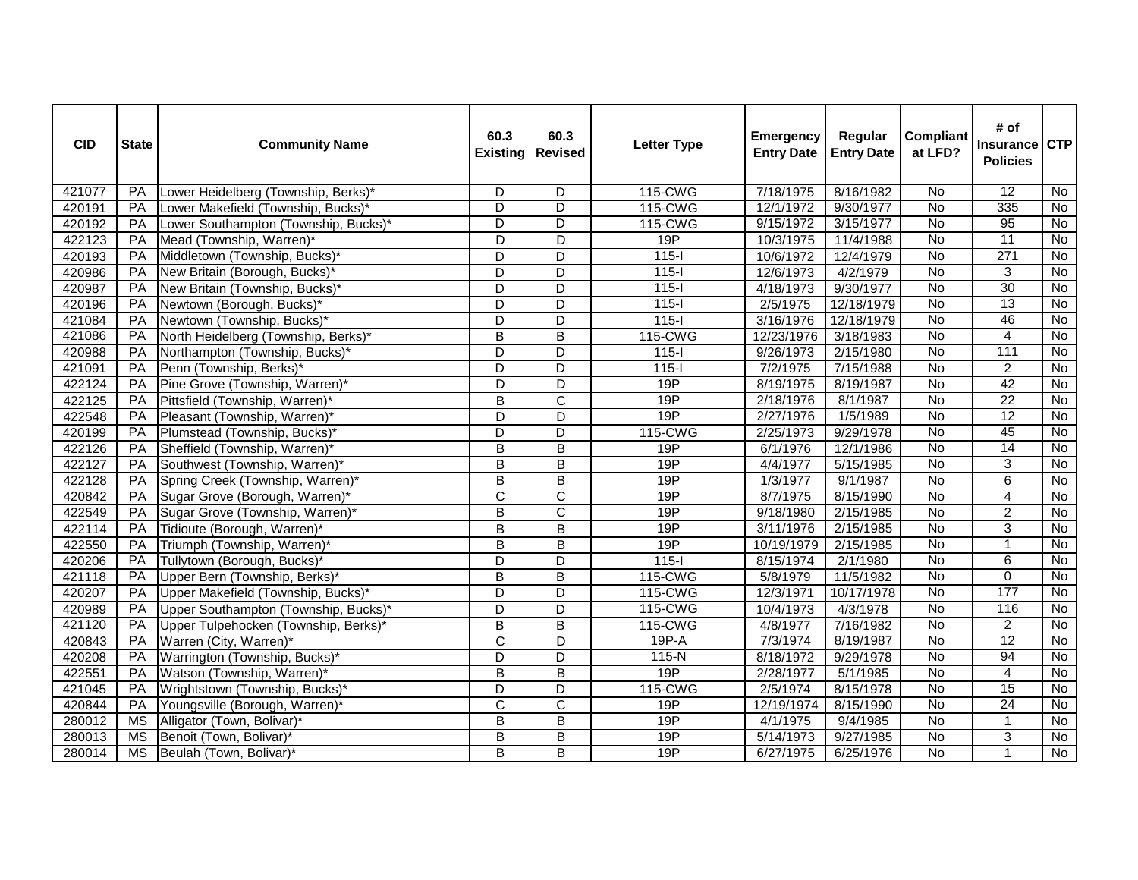| <b>CID</b> | <b>State</b> | <b>Community Name</b>                | 60.3<br><b>Existing</b> | 60.3<br><b>Revised</b>  | <b>Letter Type</b> | <b>Emergency</b><br><b>Entry Date</b> | Regular<br><b>Entry Date</b> | <b>Compliant</b><br>at LFD? | # of<br><b>Insurance</b><br><b>Policies</b> | <b>CTP</b>     |
|------------|--------------|--------------------------------------|-------------------------|-------------------------|--------------------|---------------------------------------|------------------------------|-----------------------------|---------------------------------------------|----------------|
| 421077     | <b>PA</b>    | Lower Heidelberg (Township, Berks)*  | D                       | D                       | 115-CWG            | 7/18/1975                             | 8/16/1982                    | <b>No</b>                   | 12                                          | No             |
| 420191     | <b>PA</b>    | Lower Makefield (Township, Bucks)*   | D                       | D                       | 115-CWG            | 12/1/1972                             | 9/30/1977                    | No                          | 335                                         | <b>No</b>      |
| 420192     | PA           | Lower Southampton (Township, Bucks)* | $\overline{\mathsf{D}}$ | $\overline{D}$          | 115-CWG            | 9/15/1972                             | 3/15/1977                    | No                          | 95                                          | No             |
| 422123     | PA           | Mead (Township, Warren)*             | D                       | $\overline{\mathsf{D}}$ | 19P                | 10/3/1975                             | 11/4/1988                    | $\overline{N}$              | $\overline{11}$                             | <b>No</b>      |
| 420193     | PA           | Middletown (Township, Bucks)*        | D                       | D                       | $115-I$            | 10/6/1972                             | 12/4/1979                    | No                          | 271                                         | No             |
| 420986     | PA           | New Britain (Borough, Bucks)*        | D                       | $\overline{\mathsf{D}}$ | $115 -$            | 12/6/1973                             | 4/2/1979                     | <b>No</b>                   | 3                                           | No             |
| 420987     | PA           | New Britain (Township, Bucks)*       | D                       | D                       | $115 -$            | 4/18/1973                             | 9/30/1977                    | No                          | 30                                          | <b>No</b>      |
| 420196     | PA           | Newtown (Borough, Bucks)*            | $\overline{D}$          | D                       | $115 -$            | 2/5/1975                              | 12/18/1979                   | No                          | 13                                          | <b>No</b>      |
| 421084     | PA           | Newtown (Township, Bucks)*           | D                       | D                       | $115 -$            | 3/16/1976                             | 12/18/1979                   | No                          | 46                                          | $\overline{N}$ |
| 421086     | PA           | North Heidelberg (Township, Berks)*  | $\overline{\mathsf{B}}$ | B                       | 115-CWG            | 12/23/1976                            | 3/18/1983                    | No                          | $\overline{4}$                              | <b>No</b>      |
| 420988     | PA           | Northampton (Township, Bucks)*       | D                       | D                       | $115 -$            | 9/26/1973                             | 2/15/1980                    | No                          | 111                                         | No             |
| 421091     | PA           | Penn (Township, Berks)*              | D                       | D                       | $115-I$            | 7/2/1975                              | 7/15/1988                    | <b>No</b>                   | $\overline{2}$                              | No             |
| 422124     | PA           | Pine Grove (Township, Warren)*       | D                       | D                       | 19P                | 8/19/1975                             | 8/19/1987                    | No                          | 42                                          | No             |
| 422125     | PA           | Pittsfield (Township, Warren)*       | $\overline{B}$          | $\overline{\text{c}}$   | 19P                | 2/18/1976                             | 8/1/1987                     | <b>No</b>                   | $\overline{22}$                             | <b>No</b>      |
| 422548     | PA           | Pleasant (Township, Warren)*         | $\overline{D}$          | D                       | 19P                | 2/27/1976                             | 1/5/1989                     | $\overline{N}$              | 12                                          | $\overline{N}$ |
| 420199     | PA           | Plumstead (Township, Bucks)*         | D                       | D                       | 115-CWG            | 2/25/1973                             | 9/29/1978                    | No                          | 45                                          | No             |
| 422126     | PA           | Sheffield (Township, Warren)*        | B                       | $\overline{B}$          | 19P                | 6/1/1976                              | 12/1/1986                    | No                          | 14                                          | No             |
| 422127     | PA           | Southwest (Township, Warren)*        | $\overline{B}$          | $\overline{B}$          | 19P                | 4/4/1977                              | 5/15/1985                    | $\overline{N}$              | $\overline{3}$                              | $\overline{N}$ |
| 422128     | PA           | Spring Creek (Township, Warren)*     | $\overline{B}$          | $\overline{B}$          | 19P                | 1/3/1977                              | 9/1/1987                     | No                          | 6                                           | No             |
| 420842     | PA           | Sugar Grove (Borough, Warren)*       | $\overline{\text{c}}$   | $\overline{\text{c}}$   | 19P                | 8/7/1975                              | 8/15/1990                    | <b>No</b>                   | $\overline{4}$                              | $\overline{N}$ |
| 422549     | PA           | Sugar Grove (Township, Warren)*      | $\overline{\mathsf{B}}$ | $\overline{\text{c}}$   | 19P                | 9/18/1980                             | 2/15/1985                    | <b>No</b>                   | $\overline{2}$                              | No             |
| 422114     | PA           | Tidioute (Borough, Warren)*          | B                       | $\overline{B}$          | 19P                | 3/11/1976                             | 2/15/1985                    | No                          | 3                                           | <b>No</b>      |
| 422550     | PA           | Triumph (Township, Warren)*          | $\overline{B}$          | $\overline{B}$          | 19P                | 10/19/1979                            | 2/15/1985                    | <b>No</b>                   | $\overline{1}$                              | <b>No</b>      |
| 420206     | PA           | Tullytown (Borough, Bucks)*          | D                       | D                       | $115 -$            | 8/15/1974                             | 2/1/1980                     | <b>No</b>                   | 6                                           | No             |
| 421118     | <b>PA</b>    | Upper Bern (Township, Berks)*        | $\overline{\mathsf{B}}$ | B                       | 115-CWG            | 5/8/1979                              | 11/5/1982                    | $\overline{N}$              | $\Omega$                                    | <b>No</b>      |
| 420207     | PA           | Upper Makefield (Township, Bucks)*   | D                       | D                       | 115-CWG            | 12/3/1971                             | 10/17/1978                   | No                          | 177                                         | $\overline{N}$ |
| 420989     | PA           | Upper Southampton (Township, Bucks)* | D                       | D                       | 115-CWG            | 10/4/1973                             | 4/3/1978                     | No                          | 116                                         | No             |
| 421120     | PA           | Upper Tulpehocken (Township, Berks)* | $\overline{\mathsf{B}}$ | $\overline{\mathsf{B}}$ | 115-CWG            | 4/8/1977                              | 7/16/1982                    | $\overline{N}$              | $\overline{2}$                              | No             |
| 420843     | PA           | Warren (City, Warren)*               | $\overline{\mathsf{C}}$ | $\overline{\mathsf{D}}$ | $19P-A$            | 7/3/1974                              | 8/19/1987                    | No                          | 12                                          | No             |
| 420208     | PA           | Warrington (Township, Bucks)*        | D                       | D                       | 115-N              | 8/18/1972                             | 9/29/1978                    | No                          | 94                                          | No             |
| 422551     | <b>PA</b>    | Watson (Township, Warren)*           | B                       | $\overline{B}$          | 19P                | 2/28/1977                             | 5/1/1985                     | No                          | $\overline{4}$                              | <b>No</b>      |
| 421045     | PA           | Wrightstown (Township, Bucks)*       | $\overline{D}$          | $\overline{\mathsf{D}}$ | 115-CWG            | 2/5/1974                              | 8/15/1978                    | No                          | 15                                          | $\overline{N}$ |
| 420844     | PA           | Youngsville (Borough, Warren)*       | $\overline{C}$          | $\overline{\text{c}}$   | 19P                | 12/19/1974                            | 8/15/1990                    | No                          | $\overline{24}$                             | <b>No</b>      |
| 280012     | <b>MS</b>    | Alligator (Town, Bolivar)*           | B                       | B                       | 19P                | 4/1/1975                              | 9/4/1985                     | <b>No</b>                   | $\mathbf 1$                                 | <b>No</b>      |
| 280013     | <b>MS</b>    | Benoit (Town, Bolivar)*              | $\overline{B}$          | $\overline{B}$          | 19P                | 5/14/1973                             | 9/27/1985                    | No                          | $\overline{3}$                              | $\overline{N}$ |
| 280014     | <b>MS</b>    | Beulah (Town, Bolivar)*              | B                       | $\overline{\mathsf{B}}$ | 19P                | 6/27/1975                             | 6/25/1976                    | No                          | $\overline{1}$                              | No             |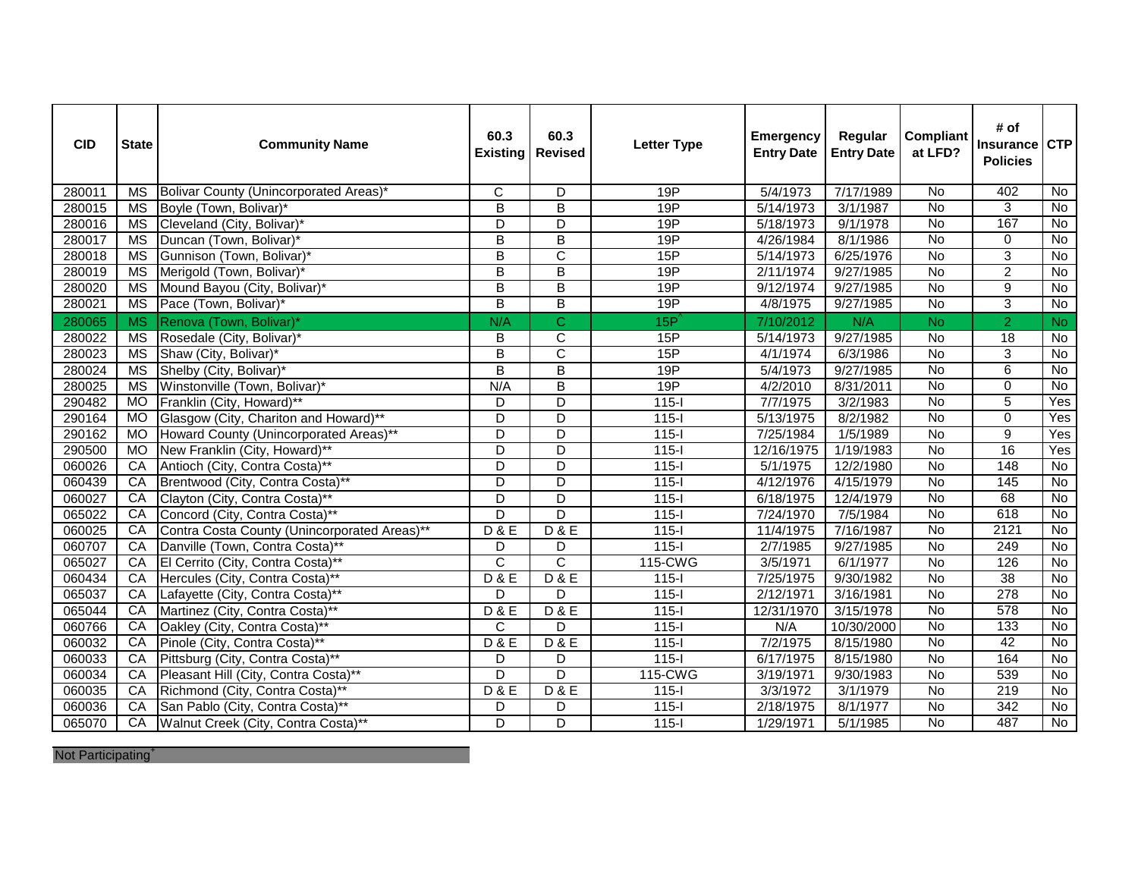| <b>CID</b> | <b>State</b>           | <b>Community Name</b>                        | 60.3<br><b>Existing</b> | 60.3<br><b>Revised</b>  | <b>Letter Type</b> | <b>Emergency</b><br><b>Entry Date</b> | Regular<br><b>Entry Date</b> | <b>Compliant</b><br>at LFD? | # of<br>Insurance<br><b>Policies</b> | <b>CTP</b>     |
|------------|------------------------|----------------------------------------------|-------------------------|-------------------------|--------------------|---------------------------------------|------------------------------|-----------------------------|--------------------------------------|----------------|
| 280011     | $\overline{\text{MS}}$ | Bolivar County (Unincorporated Areas)*       | $\overline{C}$          | D                       | 19P                | $\sqrt{5/4/1973}$                     | 7/17/1989                    | No                          | 402                                  | $\overline{N}$ |
| 280015     | <b>MS</b>              | Boyle (Town, Bolivar)*                       | B                       | В                       | 19P                | 5/14/1973                             | 3/1/1987                     | No                          | 3                                    | No             |
| 280016     | <b>MS</b>              | Cleveland (City, Bolivar)*                   | D                       | D                       | 19P                | 5/18/1973                             | 9/1/1978                     | $\overline{N}$              | 167                                  | No             |
| 280017     | <b>MS</b>              | Duncan (Town, Bolivar)*                      | $\overline{\mathsf{B}}$ | $\overline{\mathsf{B}}$ | 19P                | 4/26/1984                             | 8/1/1986                     | $\overline{N}$              | 0                                    | $\overline{N}$ |
| 280018     | <b>MS</b>              | Gunnison (Town, Bolivar)*                    | B                       | C                       | 15P                | 5/14/1973                             | 6/25/1976                    | No                          | $\overline{3}$                       | No             |
| 280019     | <b>MS</b>              | Merigold (Town, Bolivar)*                    | $\overline{\mathsf{B}}$ | $\overline{\mathsf{B}}$ | 19P                | 2/11/1974                             | 9/27/1985                    | No                          | $\overline{2}$                       | No             |
| 280020     | <b>MS</b>              | Mound Bayou (City, Bolivar)*                 | $\overline{\mathsf{B}}$ | $\overline{\mathsf{B}}$ | 19P                | 9/12/1974                             | 9/27/1985                    | $\overline{N}$              | $\overline{9}$                       | No             |
| 280021     | <b>MS</b>              | Pace (Town, Bolivar)*                        | $\overline{\mathsf{B}}$ | $\overline{\mathsf{B}}$ | 19P                | 4/8/1975                              | 9/27/1985                    | $\overline{N}$              | 3                                    | No             |
| 280065     | <b>MS</b>              | Renova (Town, Bolivar)*                      | N/A                     | $\overline{C}$          | 15P'               | 7/10/2012                             | N/A                          | <b>No</b>                   | $\overline{2}$                       | <b>No</b>      |
| 280022     | <b>MS</b>              | Rosedale (City, Bolivar)*                    | B                       | $\overline{\text{c}}$   | 15P                | 5/14/1973                             | 9/27/1985                    | <b>No</b>                   | 18                                   | No             |
| 280023     | <b>MS</b>              | Shaw (City, Bolivar)*                        | B                       | $\overline{\text{c}}$   | 15P                | 4/1/1974                              | 6/3/1986                     | <b>No</b>                   | 3                                    | <b>No</b>      |
| 280024     | $\overline{\text{MS}}$ | Shelby (City, Bolivar)*                      | $\overline{B}$          | $\overline{\mathsf{B}}$ | 19P                | 5/4/1973                              | 9/27/1985                    | $\overline{N}$              | 6                                    | $\overline{N}$ |
| 280025     | <b>MS</b>              | Winstonville (Town, Bolivar)*                | N/A                     | $\overline{\mathsf{B}}$ | 19P                | 4/2/2010                              | 8/31/2011                    | <b>No</b>                   | $\Omega$                             | $\overline{N}$ |
| 290482     | MO                     | Franklin (City, Howard)**                    | D                       | D                       | $115 -$            | 7/7/1975                              | 3/2/1983                     | $\overline{N}$              | 5                                    | Yes            |
| 290164     | <b>MO</b>              | Glasgow (City, Chariton and Howard)**        | $\overline{D}$          | $\overline{\mathsf{D}}$ | $115 -$            | 5/13/1975                             | 8/2/1982                     | $\overline{N}$              | $\mathbf 0$                          | Yes            |
| 290162     | <b>MO</b>              | Howard County (Unincorporated Areas)**       | D                       | D                       | $115 -$            | 7/25/1984                             | 1/5/1989                     | <b>No</b>                   | 9                                    | Yes            |
| 290500     | <b>MO</b>              | New Franklin (City, Howard)**                | D                       | $\overline{\mathsf{D}}$ | $115 -$            | 12/16/1975                            | 1/19/1983                    | No                          | 16                                   | Yes            |
| 060026     | CA                     | Antioch (City, Contra Costa)**               | $\overline{D}$          | $\overline{\mathsf{D}}$ | $115 -$            | 5/1/1975                              | 12/2/1980                    | <b>No</b>                   | 148                                  | <b>No</b>      |
| 060439     | CA                     | Brentwood (City, Contra Costa)**             | D                       | $\overline{\mathsf{D}}$ | $115 -$            | 4/12/1976                             | 4/15/1979                    | $\overline{N}$              | 145                                  | $\overline{N}$ |
| 060027     | CA                     | Clayton (City, Contra Costa)**               | $\overline{D}$          | $\overline{D}$          | $115 -$            | 6/18/1975                             | 12/4/1979                    | <b>No</b>                   | 68                                   | $\overline{N}$ |
| 065022     | CA                     | Concord (City, Contra Costa)**               | D                       | D                       | $115 -$            | 7/24/1970                             | 7/5/1984                     | No                          | 618                                  | <b>No</b>      |
| 060025     | CA                     | Contra Costa County (Unincorporated Areas)** | D & E                   | D & E                   | $115 -$            | 11/4/1975                             | 7/16/1987                    | $\overline{N}$              | 2121                                 | $\overline{N}$ |
| 060707     | CA                     | Danville (Town, Contra Costa)**              | D                       | D                       | $115 -$            | 2/7/1985                              | 9/27/1985                    | No                          | 249                                  | $\overline{N}$ |
| 065027     | CA                     | El Cerrito (City, Contra Costa)**            | $\overline{C}$          | $\overline{\text{c}}$   | 115-CWG            | 3/5/1971                              | 6/1/1977                     | $\overline{N}$              | 126                                  | No             |
| 060434     | CA                     | Hercules (City, Contra Costa)**              | D & E                   | D & E                   | $115 -$            | 7/25/1975                             | 9/30/1982                    | <b>No</b>                   | $\overline{38}$                      | <b>No</b>      |
| 065037     | CA                     | Lafayette (City, Contra Costa)**             | D                       | D                       | $115 -$            | 2/12/1971                             | 3/16/1981                    | No                          | 278                                  | <b>No</b>      |
| 065044     | CA                     | Martinez (City, Contra Costa)**              | D & E                   | D & E                   | $115 -$            | 12/31/1970                            | 3/15/1978                    | No                          | 578                                  | <b>No</b>      |
| 060766     | CA                     | Oakley (City, Contra Costa)**                | C                       | D                       | $115-I$            | N/A                                   | 10/30/2000                   | No                          | 133                                  | <b>No</b>      |
| 060032     | CA                     | Pinole (City, Contra Costa)**                | D & E                   | D & E                   | $115 -$            | 7/2/1975                              | 8/15/1980                    | $\overline{N}$              | 42                                   | No             |
| 060033     | CA                     | Pittsburg (City, Contra Costa)**             | D                       | D                       | $115 -$            | 6/17/1975                             | 8/15/1980                    | <b>No</b>                   | 164                                  | No             |
| 060034     | CA                     | Pleasant Hill (City, Contra Costa)**         | D                       | D                       | 115-CWG            | 3/19/1971                             | 9/30/1983                    | No                          | 539                                  | No             |
| 060035     | CA                     | Richmond (City, Contra Costa)**              | D & E                   | <b>D&amp;E</b>          | $115 -$            | 3/3/1972                              | 3/1/1979                     | $\overline{N}$              | 219                                  | $\overline{N}$ |
| 060036     | CA                     | San Pablo (City, Contra Costa)**             | D                       | D                       | $115-I$            | 2/18/1975                             | 8/1/1977                     | No                          | 342                                  | <b>No</b>      |
| 065070     | CA                     | Walnut Creek (City, Contra Costa)**          | D                       | $\overline{\mathsf{D}}$ | $115 -$            | 1/29/1971                             | 5/1/1985                     | No                          | 487                                  | No             |

Not Participating<sup>+</sup>